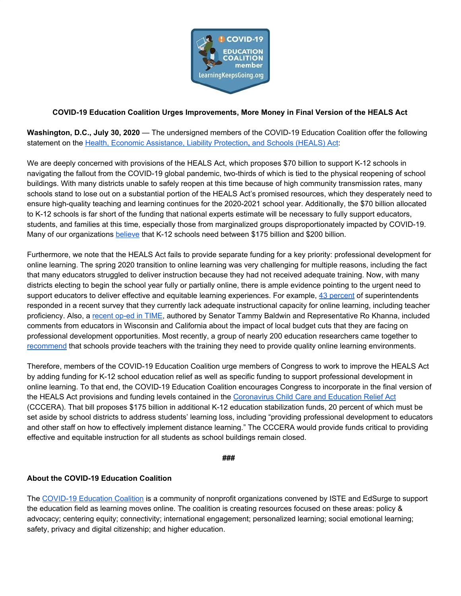

## **COVID-19 Education Coalition Urges Improvements, More Money in Final Version of the HEALS Act**

**Washington, D.C., July 30, 2020** — The undersigned members of the COVID-19 Education Coalition offer the following statement on the Health, Economic [Assistance,](https://www.appropriations.senate.gov/imo/media/doc/TJS05MAH.PDF) Liability Protection**[,](https://www.appropriations.senate.gov/imo/media/doc/TJS05MAH.PDF)** and Schools [\(HEALS\)](https://www.appropriations.senate.gov/imo/media/doc/TJS05MAH.PDF) Act:

We are deeply concerned with provisions of the HEALS Act, which proposes \$70 billion to support K-12 schools in navigating the fallout from the COVID-19 global pandemic, two-thirds of which is tied to the physical reopening of school buildings. With many districts unable to safely reopen at this time because of high community transmission rates, many schools stand to lose out on a substantial portion of the HEALS Act's promised resources, which they desperately need to ensure high-quality teaching and learning continues for the 2020-2021 school year. Additionally, the \$70 billion allocated to K-12 schools is far short of the funding that national experts estimate will be necessary to fully support educators, students, and families at this time, especially those from marginalized groups disproportionately impacted by COVID-19. Many of our organizations [believe](https://bit.ly/CCCERAstatement) that K-12 schools need between \$175 billion and \$200 billion.

Furthermore, we note that the HEALS Act fails to provide separate funding for a key priority: professional development for online learning. The spring 2020 transition to online learning was very challenging for multiple reasons, including the fact that many educators struggled to deliver instruction because they had not received adequate training. Now, with many districts electing to begin the school year fully or partially online, there is ample evidence pointing to the urgent need to support educators to deliver effective and equitable learning experiences. For example, 43 [percent](https://www.aasa.org/uploadedFiles/AASA_Blog(1)/COVID-19%20and%20Schools%20Detailing%20the%20Continued%20Impact_Intial%20Findings_6_16_2020_FN.pdf) of superintendents responded in a recent survey that they currently lack adequate instructional capacity for online learning, including teacher proficiency. Also, a [recent](https://time.com/5865253/invest-teachers-prevent-exacerbating-racial-educational-divide/) op-ed in TIME, authored by Senator Tammy Baldwin and Representative Ro Khanna, included comments from educators in Wisconsin and California about the impact of local budget cuts that they are facing on professional development opportunities. Most recently, a group of nearly 200 education researchers came together to [recommend](https://www.chalkbeat.org/2020/7/23/21336306/education-researchers-schools-budget-pandemic-letter-recommendations) that schools provide teachers with the training they need to provide quality online learning environments.

Therefore, members of the COVID-19 Education Coalition urge members of Congress to work to improve the HEALS Act by adding funding for K-12 school education relief as well as specific funding to support professional development in online learning. To that end, the COVID-19 Education Coalition encourages Congress to incorporate in the final version of the HEALS Act provisions and funding levels contained in the [Coronavirus](https://www.help.senate.gov/ranking/newsroom/press/senators-murray-schumer-democrats-introduce-430-billion-coronavirus-relief-bill-to-address-national-child-care-and-education-crises-as-democrats-urge-republicans-to-act-on-bold-covid-19-relief-) Child Care and Education Relief Act (CCCERA). That bill proposes \$175 billion in additional K-12 education stabilization funds, 20 percent of which must be set aside by school districts to address students' learning loss, including "providing professional development to educators and other staff on how to effectively implement distance learning." The CCCERA would provide funds critical to providing effective and equitable instruction for all students as school buildings remain closed.

**###**

## **About the COVID-19 Education Coalition**

The [COVID-19](https://www.learningkeepsgoing.org/education-coalition) Education Coalition is a community of nonprofit organizations convened by ISTE and EdSurge to support the education field as learning moves online. The coalition is creating resources focused on these areas: policy & advocacy; centering equity; connectivity; international engagement; personalized learning; social emotional learning; safety, privacy and digital citizenship; and higher education.